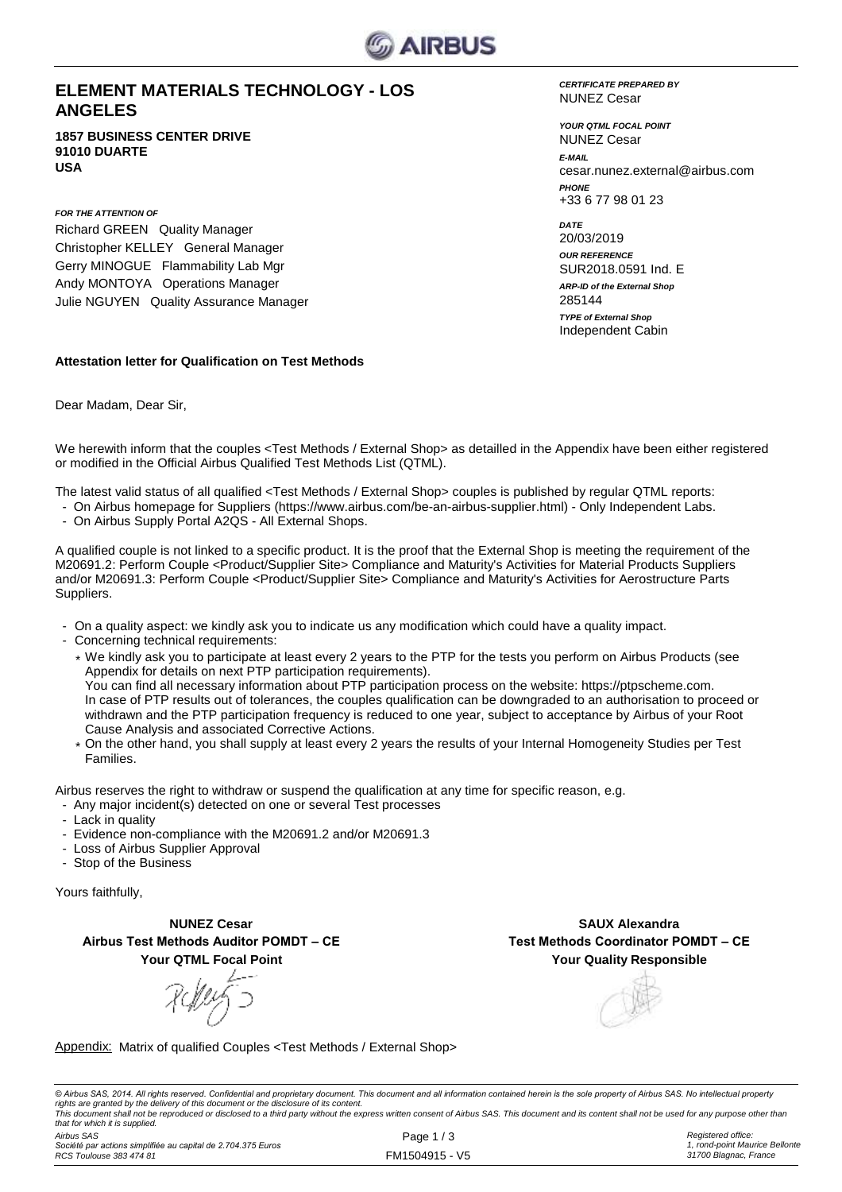

### **ELEMENT MATERIALS TECHNOLOGY - LOS ANGELES**

**1857 BUSINESS CENTER DRIVE 91010 DUARTE USA**

*FOR THE ATTENTION OF* Richard GREEN Quality Manager Christopher KELLEY General Manager Gerry MINOGUE Flammability Lab Mgr Andy MONTOYA Operations Manager Julie NGUYEN Quality Assurance Manager

#### *CERTIFICATE PREPARED BY* NUNEZ Cesar

*YOUR QTML FOCAL POINT E-MAIL* cesar.nunez.external@airbus.com *PHONE* +33 6 77 98 01 23 NUNEZ Cesar

*ARP-ID of the External Shop DATE* 20/03/2019 *OUR REFERENCE* SUR2018.0591 Ind. E Independent Cabin 285144 *TYPE of External Shop*

### **Attestation letter for Qualification on Test Methods**

Dear Madam, Dear Sir,

We herewith inform that the couples <Test Methods / External Shop> as detailled in the Appendix have been either registered or modified in the Official Airbus Qualified Test Methods List (QTML).

The latest valid status of all qualified <Test Methods / External Shop> couples is published by regular QTML reports:

- On Airbus homepage for Suppliers (https://www.airbus.com/be-an-airbus-supplier.html) Only Independent Labs.
- On Airbus Supply Portal A2QS All External Shops.

A qualified couple is not linked to a specific product. It is the proof that the External Shop is meeting the requirement of the M20691.2: Perform Couple <Product/Supplier Site> Compliance and Maturity's Activities for Material Products Suppliers and/or M20691.3: Perform Couple <Product/Supplier Site> Compliance and Maturity's Activities for Aerostructure Parts Suppliers.

- On a quality aspect: we kindly ask you to indicate us any modification which could have a quality impact.
- Concerning technical requirements:
	- \* We kindly ask you to participate at least every 2 years to the PTP for the tests you perform on Airbus Products (see Appendix for details on next PTP participation requirements). You can find all necessary information about PTP participation process on the website: https://ptpscheme.com. In case of PTP results out of tolerances, the couples qualification can be downgraded to an authorisation to proceed or withdrawn and the PTP participation frequency is reduced to one year, subject to acceptance by Airbus of your Root Cause Analysis and associated Corrective Actions.
	- \* On the other hand, you shall supply at least every 2 years the results of your Internal Homogeneity Studies per Test Families.

Airbus reserves the right to withdraw or suspend the qualification at any time for specific reason, e.g.

- Any major incident(s) detected on one or several Test processes
- Lack in quality
- Evidence non-compliance with the M20691.2 and/or M20691.3
- Loss of Airbus Supplier Approval
- Stop of the Business

Yours faithfully,

**NUNEZ Cesar Airbus Test Methods Auditor POMDT – CE Your QTML Focal Point**

**Your Quality Responsible SAUX Alexandra Test Methods Coordinator POMDT – CE**

Appendix: Matrix of qualified Couples <Test Methods / External Shop>

© Airbus SAS, 2014. All rights reserved. Confidential and proprietary document. This document and all information contained herein is the sole property of Airbus SAS. No intellectual property rights are granted by the delivery of this document or the disclosure of its content.<br>This document shall not be reproduced or disclosed to a third party without the express written consent of Airbus SAS. This document and *that for which it is supplied.*

*Airbus SAS Société par actions simplifiée au capital de 2.704.375 Euros RCS Toulouse 383 474 81*

Page 1 / 3 FM1504915 - V5 *Registered office: 1, rond-point Maurice Bellonte 31700 Blagnac, France*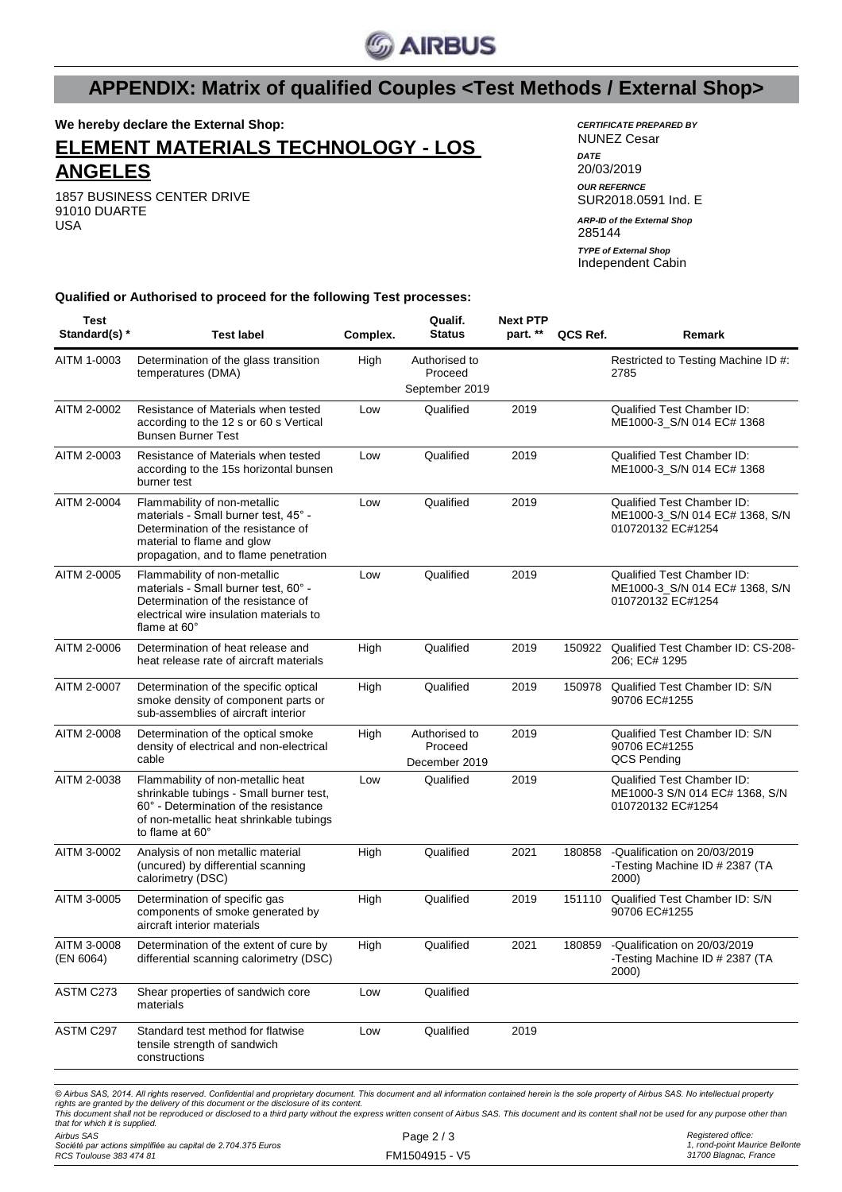

# **APPENDIX: Matrix of qualified Couples <Test Methods / External Shop>**

**We hereby declare the External Shop:**

## **ELEMENT MATERIALS TECHNOLOGY - LOS ANGELES**

1857 BUSINESS CENTER DRIVE 91010 DUARTE USA

*CERTIFICATE PREPARED BY* NUNEZ Cesar *DATE* 20/03/2019 *OUR REFERNCE* SUR2018.0591 Ind. E 285144 Independent Cabin *ARP-ID of the External Shop TYPE of External Shop*

**Qualified or Authorised to proceed for the following Test processes:**

| Test<br>Standard(s) *    | <b>Test label</b>                                                                                                                                                                   | Complex. | Qualif.<br><b>Status</b>                   | <b>Next PTP</b><br>part. ** | QCS Ref. | Remark                                                                            |
|--------------------------|-------------------------------------------------------------------------------------------------------------------------------------------------------------------------------------|----------|--------------------------------------------|-----------------------------|----------|-----------------------------------------------------------------------------------|
| AITM 1-0003              | Determination of the glass transition<br>temperatures (DMA)                                                                                                                         | High     | Authorised to<br>Proceed<br>September 2019 |                             |          | Restricted to Testing Machine ID #:<br>2785                                       |
| AITM 2-0002              | Resistance of Materials when tested<br>according to the 12 s or 60 s Vertical<br><b>Bunsen Burner Test</b>                                                                          | Low      | Qualified                                  | 2019                        |          | <b>Qualified Test Chamber ID:</b><br>ME1000-3_S/N 014 EC# 1368                    |
| AITM 2-0003              | Resistance of Materials when tested<br>according to the 15s horizontal bunsen<br>burner test                                                                                        | Low      | Qualified                                  | 2019                        |          | Qualified Test Chamber ID:<br>ME1000-3_S/N 014 EC# 1368                           |
| AITM 2-0004              | Flammability of non-metallic<br>materials - Small burner test, 45° -<br>Determination of the resistance of<br>material to flame and glow<br>propagation, and to flame penetration   | Low      | Qualified                                  | 2019                        |          | Qualified Test Chamber ID:<br>ME1000-3_S/N 014 EC# 1368, S/N<br>010720132 EC#1254 |
| AITM 2-0005              | Flammability of non-metallic<br>materials - Small burner test, 60° -<br>Determination of the resistance of<br>electrical wire insulation materials to<br>flame at $60^\circ$        | Low      | Qualified                                  | 2019                        |          | Qualified Test Chamber ID:<br>ME1000-3_S/N 014 EC# 1368, S/N<br>010720132 EC#1254 |
| AITM 2-0006              | Determination of heat release and<br>heat release rate of aircraft materials                                                                                                        | High     | Qualified                                  | 2019                        |          | 150922 Qualified Test Chamber ID: CS-208-<br>206; EC# 1295                        |
| AITM 2-0007              | Determination of the specific optical<br>smoke density of component parts or<br>sub-assemblies of aircraft interior                                                                 | High     | Qualified                                  | 2019                        | 150978   | Qualified Test Chamber ID: S/N<br>90706 EC#1255                                   |
| AITM 2-0008              | Determination of the optical smoke<br>density of electrical and non-electrical<br>cable                                                                                             | High     | Authorised to<br>Proceed<br>December 2019  | 2019                        |          | Qualified Test Chamber ID: S/N<br>90706 EC#1255<br>QCS Pending                    |
| AITM 2-0038              | Flammability of non-metallic heat<br>shrinkable tubings - Small burner test,<br>60° - Determination of the resistance<br>of non-metallic heat shrinkable tubings<br>to flame at 60° | Low      | Qualified                                  | 2019                        |          | Qualified Test Chamber ID:<br>ME1000-3 S/N 014 EC# 1368, S/N<br>010720132 EC#1254 |
| AITM 3-0002              | Analysis of non metallic material<br>(uncured) by differential scanning<br>calorimetry (DSC)                                                                                        | High     | Qualified                                  | 2021                        | 180858   | -Qualification on 20/03/2019<br>-Testing Machine ID # 2387 (TA<br>2000)           |
| AITM 3-0005              | Determination of specific gas<br>components of smoke generated by<br>aircraft interior materials                                                                                    | High     | Qualified                                  | 2019                        | 151110   | Qualified Test Chamber ID: S/N<br>90706 EC#1255                                   |
| AITM 3-0008<br>(EN 6064) | Determination of the extent of cure by<br>differential scanning calorimetry (DSC)                                                                                                   | High     | Qualified                                  | 2021                        | 180859   | -Qualification on 20/03/2019<br>-Testing Machine ID # 2387 (TA<br>2000)           |
| ASTM C273                | Shear properties of sandwich core<br>materials                                                                                                                                      | Low      | Qualified                                  |                             |          |                                                                                   |
| ASTM C297                | Standard test method for flatwise<br>tensile strength of sandwich<br>constructions                                                                                                  | Low      | Qualified                                  | 2019                        |          |                                                                                   |
|                          |                                                                                                                                                                                     |          |                                            |                             |          |                                                                                   |

© Airbus SAS, 2014. All rights reserved. Confidential and proprietary document. This document and all information contained herein is the sole property of Airbus SAS. No intellectual property rights are granted by the delivery of this document or the disclosure of its content.<br>This document shall not be reproduced or disclosed to a third party without the express written consent of Airbus SAS. This document and *that for which it is supplied.*